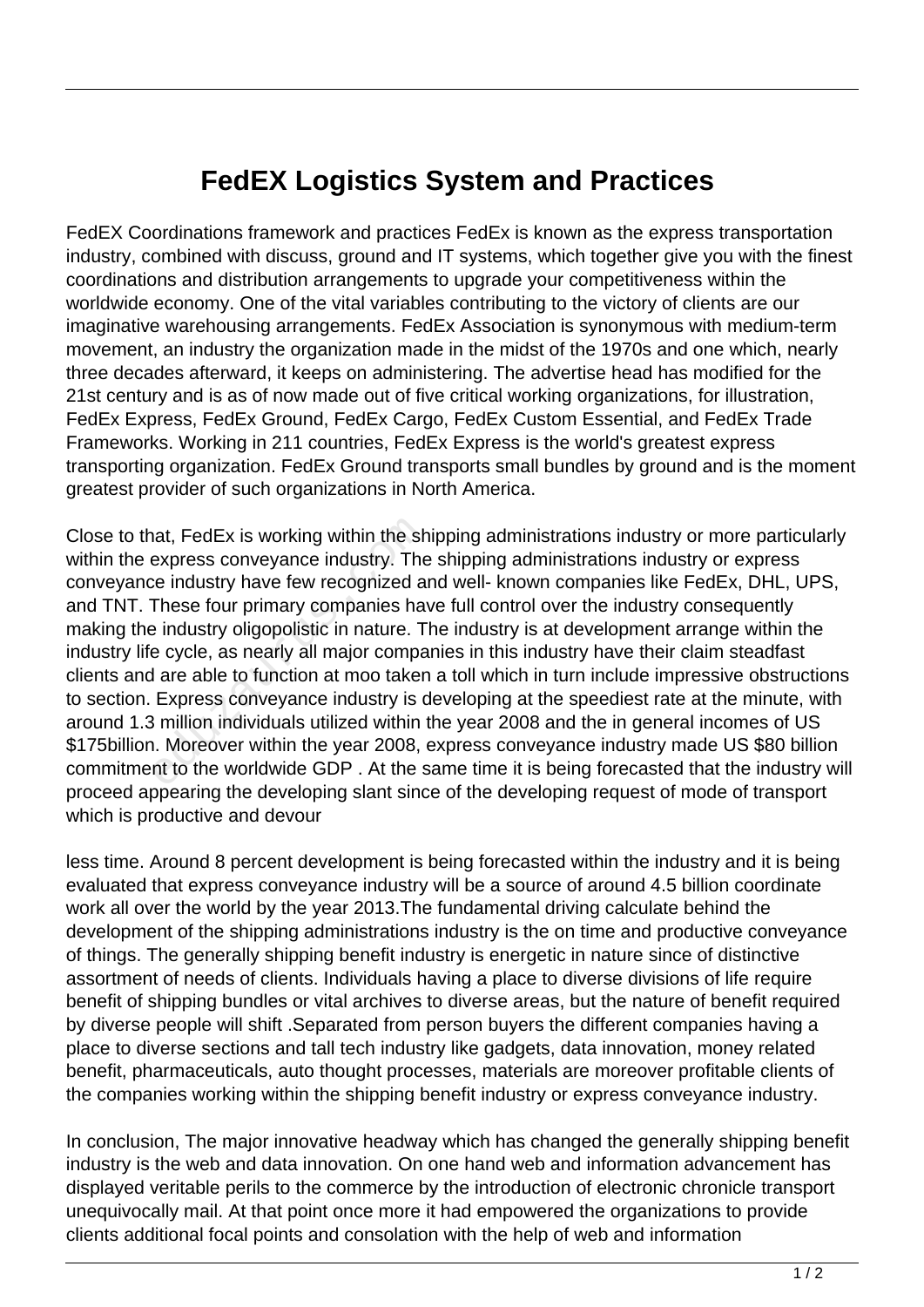## **FedEX Logistics System and Practices**

FedEX Coordinations framework and practices FedEx is known as the express transportation industry, combined with discuss, ground and IT systems, which together give you with the finest coordinations and distribution arrangements to upgrade your competitiveness within the worldwide economy. One of the vital variables contributing to the victory of clients are our imaginative warehousing arrangements. FedEx Association is synonymous with medium-term movement, an industry the organization made in the midst of the 1970s and one which, nearly three decades afterward, it keeps on administering. The advertise head has modified for the 21st century and is as of now made out of five critical working organizations, for illustration, FedEx Express, FedEx Ground, FedEx Cargo, FedEx Custom Essential, and FedEx Trade Frameworks. Working in 211 countries, FedEx Express is the world's greatest express transporting organization. FedEx Ground transports small bundles by ground and is the moment greatest provider of such organizations in North America.

Close to that, FedEx is working within the shipping administrations industry or more particularly within the express conveyance industry. The shipping administrations industry or express conveyance industry have few recognized and well- known companies like FedEx, DHL, UPS, and TNT. These four primary companies have full control over the industry consequently making the industry oligopolistic in nature. The industry is at development arrange within the industry life cycle, as nearly all major companies in this industry have their claim steadfast clients and are able to function at moo taken a toll which in turn include impressive obstructions to section. Express conveyance industry is developing at the speediest rate at the minute, with around 1.3 million individuals utilized within the year 2008 and the in general incomes of US \$175billion. Moreover within the year 2008, express conveyance industry made US \$80 billion commitment to the worldwide GDP . At the same time it is being forecasted that the industry will proceed appearing the developing slant since of the developing request of mode of transport which is productive and devour nat, FedEx is working within the shexpress conveyance industry. The<br>ee industry have few recognized at<br>These four primary companies have industry oligopolistic in nature. T<br>e cycle, as nearly all major compa<br>I are able to

less time. Around 8 percent development is being forecasted within the industry and it is being evaluated that express conveyance industry will be a source of around 4.5 billion coordinate work all over the world by the year 2013.The fundamental driving calculate behind the development of the shipping administrations industry is the on time and productive conveyance of things. The generally shipping benefit industry is energetic in nature since of distinctive assortment of needs of clients. Individuals having a place to diverse divisions of life require benefit of shipping bundles or vital archives to diverse areas, but the nature of benefit required by diverse people will shift .Separated from person buyers the different companies having a place to diverse sections and tall tech industry like gadgets, data innovation, money related benefit, pharmaceuticals, auto thought processes, materials are moreover profitable clients of the companies working within the shipping benefit industry or express conveyance industry.

In conclusion, The major innovative headway which has changed the generally shipping benefit industry is the web and data innovation. On one hand web and information advancement has displayed veritable perils to the commerce by the introduction of electronic chronicle transport unequivocally mail. At that point once more it had empowered the organizations to provide clients additional focal points and consolation with the help of web and information